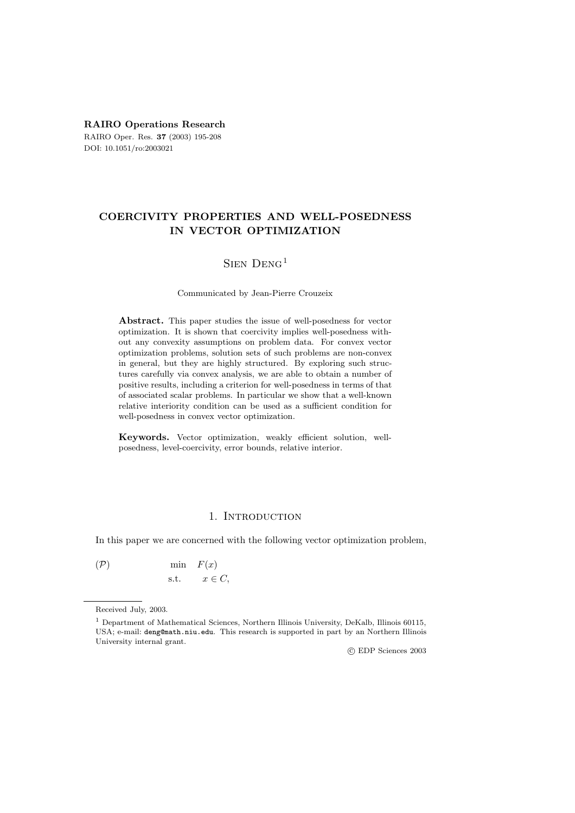**RAIRO Operations Research** RAIRO Oper. Res. **37** (2003) 195-208 DOI: 10.1051/ro:2003021

## **COERCIVITY PROPERTIES AND WELL-POSEDNESS IN VECTOR OPTIMIZATION**

## Sien Deng<sup>1</sup>

#### Communicated by Jean-Pierre Crouzeix

**Abstract.** This paper studies the issue of well-posedness for vector optimization. It is shown that coercivity implies well-posedness without any convexity assumptions on problem data. For convex vector optimization problems, solution sets of such problems are non-convex in general, but they are highly structured. By exploring such structures carefully via convex analysis, we are able to obtain a number of positive results, including a criterion for well-posedness in terms of that of associated scalar problems. In particular we show that a well-known relative interiority condition can be used as a sufficient condition for well-posedness in convex vector optimization.

**Keywords.** Vector optimization, weakly efficient solution, wellposedness, level-coercivity, error bounds, relative interior.

## 1. INTRODUCTION

In this paper we are concerned with the following vector optimization problem,

 $(\mathcal{P})$  min  $F(x)$ s.t.  $x \in C$ ,

c EDP Sciences 2003

Received July, 2003.

<sup>1</sup> Department of Mathematical Sciences, Northern Illinois University, DeKalb, Illinois 60115, USA; e-mail: deng@math.niu.edu. This research is supported in part by an Northern Illinois University internal grant.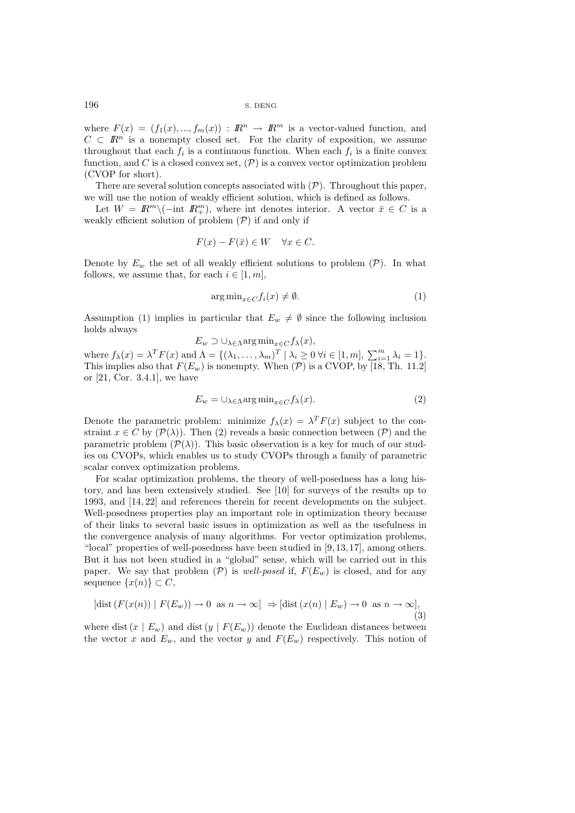where  $F(x)=(f_1(x),..., f_m(x)) : \mathbb{R}^n \to \mathbb{R}^m$  is a vector-valued function, and  $C \subset \mathbb{R}^n$  is a nonempty closed set. For the clarity of exposition, we assume throughout that each  $f_i$  is a continuous function. When each  $f_i$  is a finite convex function, and C is a closed convex set,  $(\mathcal{P})$  is a convex vector optimization problem (CVOP for short).

There are several solution concepts associated with  $(\mathcal{P})$ . Throughout this paper, we will use the notion of weakly efficient solution, which is defined as follows.

Let  $W = \mathbb{R}^m \setminus (-\text{int } \mathbb{R}^m_+)$ , where int denotes interior. A vector  $\bar{x} \in C$  is a weakly efficient solution of problem  $(\mathcal{P})$  if and only if

$$
F(x) - F(\bar{x}) \in W \quad \forall x \in C.
$$

Denote by  $E_w$  the set of all weakly efficient solutions to problem  $(\mathcal{P})$ . In what follows, we assume that, for each  $i \in [1, m]$ ,

$$
\arg\min_{x \in C} f_i(x) \neq \emptyset. \tag{1}
$$

Assumption (1) implies in particular that  $E_w \neq \emptyset$  since the following inclusion holds always

$$
E_w \supset \cup_{\lambda \in \Lambda} \arg \min_{x \in C} f_{\lambda}(x),
$$

where  $f_{\lambda}(x) = \lambda^T F(x)$  and  $\Lambda = \{(\lambda_1, ..., \lambda_m)^T | \lambda_i \geq 0 \forall i \in [1, m], \sum_{i=1}^m \lambda_i = 1\}.$ <br>This implies also that  $F(F)$  is nonempty. When  $(\mathcal{D})$  is a CVOP by [18, Th, 11.2] This implies also that  $F(E_w)$  is nonempty. When  $(\mathcal{P})$  is a CVOP, by [18, Th. 11.2] or [21, Cor. 3.4.1], we have

$$
E_w = \cup_{\lambda \in \Lambda} \arg \min_{x \in C} f_{\lambda}(x). \tag{2}
$$

Denote the parametric problem: minimize  $f_{\lambda}(x) = \lambda^{T} F(x)$  subject to the constraint  $x \in C$  by  $(\mathcal{P}(\lambda))$ . Then (2) reveals a basic connection between  $(\mathcal{P})$  and the parametric problem  $(\mathcal{P}(\lambda))$ . This basic observation is a key for much of our studies on CVOPs, which enables us to study CVOPs through a family of parametric scalar convex optimization problems.

For scalar optimization problems, the theory of well-posedness has a long history, and has been extensively studied. See [10] for surveys of the results up to 1993, and [14, 22] and references therein for recent developments on the subject. Well-posedness properties play an important role in optimization theory because of their links to several basic issues in optimization as well as the usefulness in the convergence analysis of many algorithms. For vector optimization problems, "local" properties of well-posedness have been studied in [9, 13, 17], among others. But it has not been studied in a "global" sense, which will be carried out in this paper. We say that problem  $(\mathcal{P})$  is *well-posed* if,  $F(E_w)$  is closed, and for any sequence  $\{x(n)\}\subset C$ ,

$$
[\text{dist}(F(x(n)) \mid F(E_w)) \to 0 \text{ as } n \to \infty] \Rightarrow [\text{dist}(x(n) \mid E_w) \to 0 \text{ as } n \to \infty],
$$
\n(3)

where dist  $(x | E_w)$  and dist  $(y | F(E_w))$  denote the Euclidean distances between the vector x and  $E_w$ , and the vector y and  $F(E_w)$  respectively. This notion of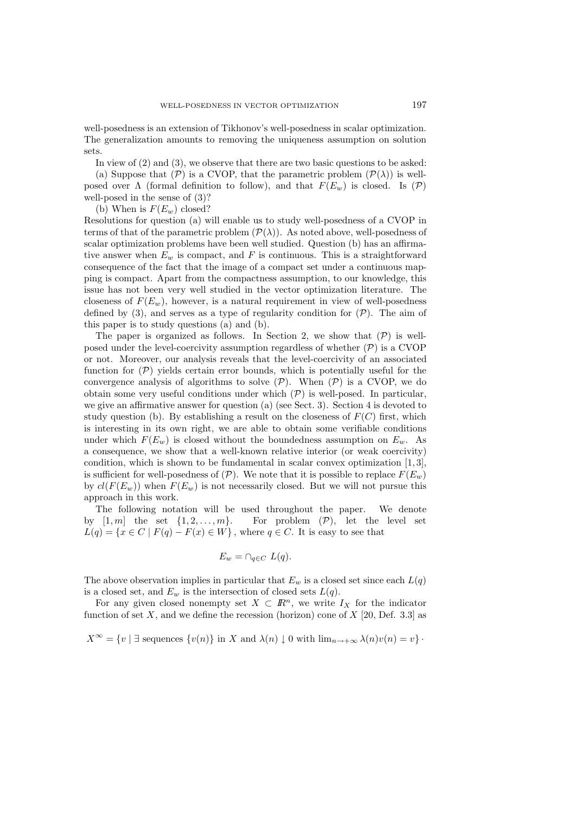well-posedness is an extension of Tikhonov's well-posedness in scalar optimization. The generalization amounts to removing the uniqueness assumption on solution sets.

In view of (2) and (3), we observe that there are two basic questions to be asked:

(a) Suppose that  $(\mathcal{P})$  is a CVOP, that the parametric problem  $(\mathcal{P}(\lambda))$  is wellposed over  $\Lambda$  (formal definition to follow), and that  $F(E_w)$  is closed. Is  $(\mathcal{P})$ well-posed in the sense of (3)?

(b) When is  $F(E_w)$  closed?

Resolutions for question (a) will enable us to study well-posedness of a CVOP in terms of that of the parametric problem  $(\mathcal{P}(\lambda))$ . As noted above, well-posedness of scalar optimization problems have been well studied. Question (b) has an affirmative answer when  $E_w$  is compact, and F is continuous. This is a straightforward consequence of the fact that the image of a compact set under a continuous mapping is compact. Apart from the compactness assumption, to our knowledge, this issue has not been very well studied in the vector optimization literature. The closeness of  $F(E_w)$ , however, is a natural requirement in view of well-posedness defined by (3), and serves as a type of regularity condition for  $(\mathcal{P})$ . The aim of this paper is to study questions (a) and (b).

The paper is organized as follows. In Section 2, we show that  $(\mathcal{P})$  is wellposed under the level-coercivity assumption regardless of whether  $(\mathcal{P})$  is a CVOP or not. Moreover, our analysis reveals that the level-coercivity of an associated function for  $(\mathcal{P})$  yields certain error bounds, which is potentially useful for the convergence analysis of algorithms to solve  $(\mathcal{P})$ . When  $(\mathcal{P})$  is a CVOP, we do obtain some very useful conditions under which  $(\mathcal{P})$  is well-posed. In particular, we give an affirmative answer for question (a) (see Sect. 3). Section 4 is devoted to study question (b). By establishing a result on the closeness of  $F(C)$  first, which is interesting in its own right, we are able to obtain some verifiable conditions under which  $F(E_w)$  is closed without the boundedness assumption on  $E_w$ . As a consequence, we show that a well-known relative interior (or weak coercivity) condition, which is shown to be fundamental in scalar convex optimization [1, 3], is sufficient for well-posedness of  $(\mathcal{P})$ . We note that it is possible to replace  $F(E_w)$ by  $cl(F(E_w))$  when  $F(E_w)$  is not necessarily closed. But we will not pursue this approach in this work.

The following notation will be used throughout the paper. We denote by  $[1, m]$  the set  $\{1, 2, ..., m\}$ . For problem  $(\mathcal{P})$ , let the level set  $L(q) = \{x \in C \mid F(q) - F(x) \in W\}$ , where  $q \in C$ . It is easy to see that

$$
E_w = \cap_{q \in C} L(q).
$$

The above observation implies in particular that  $E_w$  is a closed set since each  $L(q)$ is a closed set, and  $E_w$  is the intersection of closed sets  $L(q)$ .

For any given closed nonempty set  $X \subset \mathbb{R}^n$ , we write  $I_X$  for the indicator function of set X, and we define the recession (horizon) cone of  $X$  [20, Def. 3.3] as

$$
X^{\infty} = \{v \mid \exists \text{ sequences } \{v(n)\} \text{ in } X \text{ and } \lambda(n) \downarrow 0 \text{ with } \lim_{n \to +\infty} \lambda(n)v(n) = v\}.
$$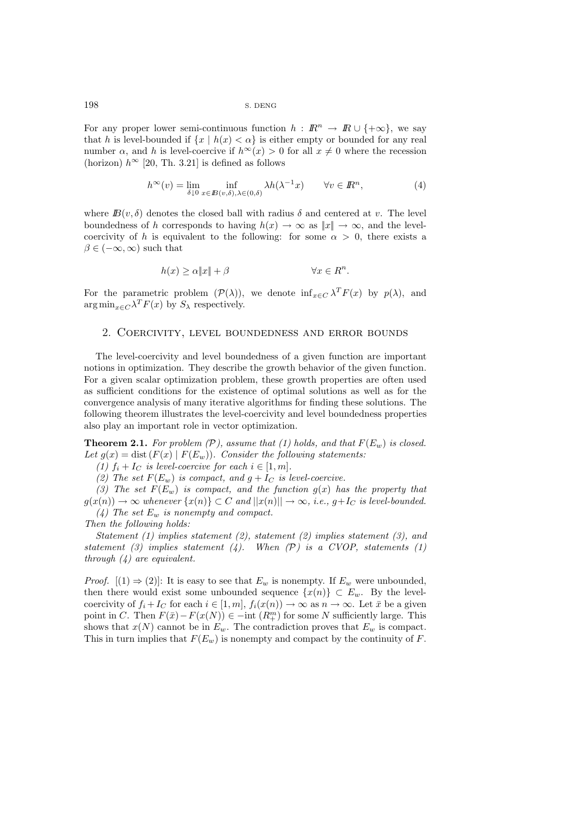For any proper lower semi-continuous function  $h : \mathbb{R}^n \to \mathbb{R} \cup \{+\infty\}$ , we say that h is level-bounded if  $\{x \mid h(x) < \alpha\}$  is either empty or bounded for any real number  $\alpha$ , and h is level-coercive if  $h^{\infty}(x) > 0$  for all  $x \neq 0$  where the recession (horizon)  $h^{\infty}$  [20, Th. 3.21] is defined as follows

$$
h^{\infty}(v) = \lim_{\delta \downarrow 0} \inf_{x \in B(v,\delta),\lambda \in (0,\delta)} \lambda h(\lambda^{-1}x) \qquad \forall v \in \mathbb{R}^n,
$$
 (4)

where  $B(v, \delta)$  denotes the closed ball with radius  $\delta$  and centered at v. The level boundedness of h corresponds to having  $h(x) \to \infty$  as  $||x|| \to \infty$ , and the levelcoercivity of h is equivalent to the following: for some  $\alpha > 0$ , there exists a  $\beta \in (-\infty, \infty)$  such that

$$
h(x) \ge \alpha \|x\| + \beta \qquad \forall x \in R^n.
$$

For the parametric problem  $(\mathcal{P}(\lambda))$ , we denote  $\inf_{x \in C} \lambda^T F(x)$  by  $p(\lambda)$ , and  $\arg \min_{x \in C} \lambda^T F(x)$  by  $S_\lambda$  respectively.

### 2. Coercivity, level boundedness and error bounds

The level-coercivity and level boundedness of a given function are important notions in optimization. They describe the growth behavior of the given function. For a given scalar optimization problem, these growth properties are often used as sufficient conditions for the existence of optimal solutions as well as for the convergence analysis of many iterative algorithms for finding these solutions. The following theorem illustrates the level-coercivity and level boundedness properties also play an important role in vector optimization.

**Theorem 2.1.** For problem  $(\mathcal{P})$ , assume that (1) holds, and that  $F(E_w)$  is closed. Let  $g(x) = \text{dist}(F(x) | F(E_w))$ . Consider the following statements:

*(1)*  $f_i + I_C$  *is level-coercive for each*  $i \in [1, m]$ *.* 

(2) The set  $F(E_w)$  *is compact, and*  $g + I_C$  *is level-coercive.* 

(3) The set  $F(E_w)$  *is compact, and the function*  $g(x)$  *has the property that*  $g(x(n)) \to \infty$  whenever  $\{x(n)\} \subset C$  and  $||x(n)|| \to \infty$ , *i.e.*,  $g+I_C$  *is level-bounded. (4) The set* <sup>E</sup>w *is nonempty and compact.*

*Then the following holds:*

*Statement (1) implies statement (2), statement (2) implies statement (3), and statement (3) implies statement (4). When (*P*) is a CVOP, statements (1) through (4) are equivalent.*

*Proof.*  $[(1) \Rightarrow (2)]$ : It is easy to see that  $E_w$  is nonempty. If  $E_w$  were unbounded, then there would exist some unbounded sequence  $\{x(n)\}\subset E_w$ . By the levelcoercivity of  $f_i + I_C$  for each  $i \in [1, m], f_i(x(n)) \to \infty$  as  $n \to \infty$ . Let  $\bar{x}$  be a given point in C. Then  $F(\bar{x}) - F(x(N)) \in -\text{int}(R_+^m)$  for some N sufficiently large. This shows that  $x(N)$  cannot be in  $E_w$ . The contradiction proves that  $E_w$  is compact. This in turn implies that  $F(E_w)$  is nonempty and compact by the continuity of F.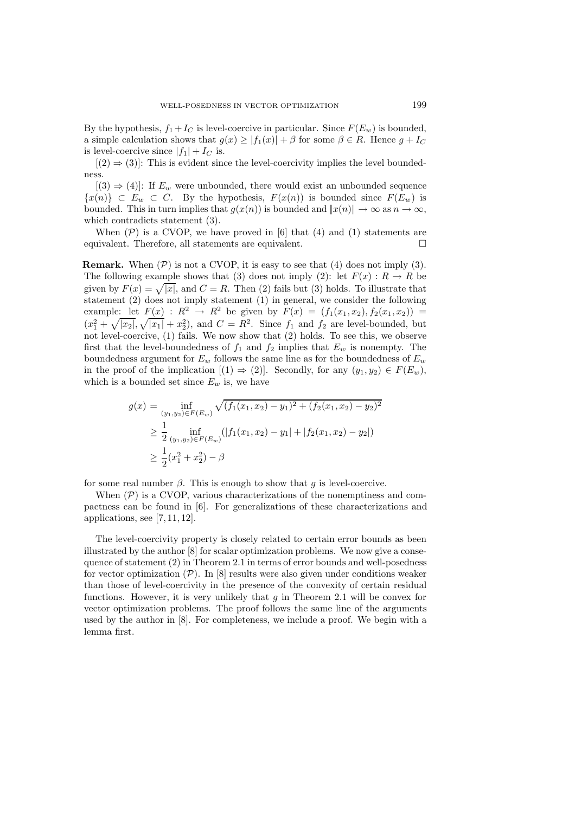By the hypothesis,  $f_1 + I_C$  is level-coercive in particular. Since  $F(E_w)$  is bounded, a simple calculation shows that  $g(x) \geq |f_1(x)| + \beta$  for some  $\beta \in R$ . Hence  $g + I_C$ is level-coercive since  $|f_1| + I_C$  is.

 $[(2) \Rightarrow (3)]$ : This is evident since the level-coercivity implies the level boundedness.

 $[(3) \Rightarrow (4)]$ : If  $E_w$  were unbounded, there would exist an unbounded sequence  $\{x(n)\}\subset E_w\subset C$ . By the hypothesis,  $F(x(n))$  is bounded since  $F(E_w)$  is bounded. This in turn implies that  $g(x(n))$  is bounded and  $||x(n)|| \to \infty$  as  $n \to \infty$ , which contradicts statement (3).

When  $(\mathcal{P})$  is a CVOP, we have proved in [6] that (4) and (1) statements are equivalent. Therefore, all statements are equivalent.

**Remark.** When  $(P)$  is not a CVOP, it is easy to see that  $(4)$  does not imply  $(3)$ . The following example shows that (3) does not imply (2): let  $F(x): R \to R$  be given by  $F(x) = \sqrt{|x|}$ , and  $C = R$ . Then (2) fails but (3) holds. To illustrate that statement (2) does not imply statement (1) in general, we consider the following example: let  $F(x)$ :  $R^2 \to R^2$  be given by  $F(x) = (f_1(x_1, x_2), f_2(x_1, x_2))$  $(x_1^2 + \sqrt{|x_2|}, \sqrt{|x_1|} + x_2^2)$ , and  $C = R^2$ . Since  $f_1$  and  $f_2$  are level-bounded, but not level-coercive, (1) fails. We now show that (2) holds. To see this, we observe first that the level-boundedness of  $f_1$  and  $f_2$  implies that  $E_w$  is nonempty. The boundedness argument for  $E_w$  follows the same line as for the boundedness of  $E_w$ in the proof of the implication  $[(1) \Rightarrow (2)]$ . Secondly, for any  $(y_1, y_2) \in F(E_w)$ , which is a bounded set since  $E_w$  is, we have

$$
g(x) = \inf_{(y_1, y_2) \in F(E_w)} \sqrt{(f_1(x_1, x_2) - y_1)^2 + (f_2(x_1, x_2) - y_2)^2}
$$
  
\n
$$
\geq \frac{1}{2} \inf_{(y_1, y_2) \in F(E_w)} (|f_1(x_1, x_2) - y_1| + |f_2(x_1, x_2) - y_2|)
$$
  
\n
$$
\geq \frac{1}{2} (x_1^2 + x_2^2) - \beta
$$

for some real number  $\beta$ . This is enough to show that g is level-coercive.

When  $(\mathcal{P})$  is a CVOP, various characterizations of the nonemptiness and compactness can be found in [6]. For generalizations of these characterizations and applications, see [7, 11, 12].

The level-coercivity property is closely related to certain error bounds as been illustrated by the author [8] for scalar optimization problems. We now give a consequence of statement (2) in Theorem 2.1 in terms of error bounds and well-posedness for vector optimization  $(\mathcal{P})$ . In [8] results were also given under conditions weaker than those of level-coercivity in the presence of the convexity of certain residual functions. However, it is very unlikely that  $q$  in Theorem 2.1 will be convex for vector optimization problems. The proof follows the same line of the arguments used by the author in [8]. For completeness, we include a proof. We begin with a lemma first.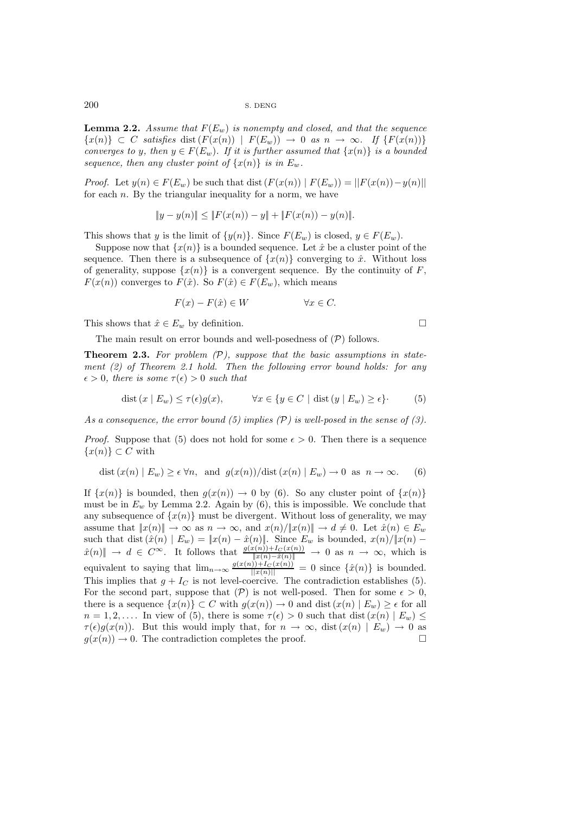**Lemma 2.2.** *Assume that*  $F(E_w)$  *is nonempty and closed, and that the sequence*  ${x(n)} \subset C$  *satisfies* dist  $(F(x(n)) | F(E_w)) \rightarrow 0$  *as*  $n \rightarrow \infty$ *.* If  ${F(x(n))}$ *converges to* y*, then*  $y \in F(E_w)$ *. If it is further assumed that*  $\{x(n)\}\$  *is a bounded sequence, then any cluster point of*  $\{x(n)\}\$ *is in*  $E_w$ *.* 

*Proof.* Let  $y(n) \in F(E_w)$  be such that dist  $(F(x(n)) | F(E_w)) = ||F(x(n)) - y(n)||$ for each  $n$ . By the triangular inequality for a norm, we have

$$
||y - y(n)|| \le ||F(x(n)) - y|| + ||F(x(n)) - y(n)||.
$$

This shows that y is the limit of  $\{y(n)\}$ . Since  $F(E_w)$  is closed,  $y \in F(E_w)$ .

Suppose now that  $\{x(n)\}\$ is a bounded sequence. Let  $\hat{x}$  be a cluster point of the sequence. Then there is a subsequence of  $\{x(n)\}\$ converging to  $\hat{x}$ . Without loss of generality, suppose  $\{x(n)\}\;$  is a convergent sequence. By the continuity of F,  $F(x(n))$  converges to  $F(\hat{x})$ . So  $F(\hat{x}) \in F(E_w)$ , which means

$$
F(x) - F(\hat{x}) \in W \qquad \forall x \in C.
$$

This shows that  $\hat{x} \in E_w$  by definition.

The main result on error bounds and well-posedness of  $(\mathcal{P})$  follows.

**Theorem 2.3.** *For problem (*P*), suppose that the basic assumptions in statement (2) of Theorem 2.1 hold. Then the following error bound holds: for any*  $\epsilon > 0$ , there is some  $\tau(\epsilon) > 0$  such that

$$
\text{dist}\left(x \mid E_w\right) \le \tau(\epsilon)g(x), \qquad \forall x \in \{y \in C \mid \text{dist}\left(y \mid E_w\right) \ge \epsilon\}.\tag{5}
$$

*As a consequence, the error bound (5) implies (*P*) is well-posed in the sense of (3).*

*Proof.* Suppose that (5) does not hold for some  $\epsilon > 0$ . Then there is a sequence  $\{x(n)\}\subset C$  with

$$
\text{dist}\left(x(n) \mid E_w\right) \ge \epsilon \,\forall n, \text{ and } g(x(n))/\text{dist}\left(x(n) \mid E_w\right) \to 0 \text{ as } n \to \infty. \tag{6}
$$

If  $\{x(n)\}\$ is bounded, then  $g(x(n)) \to 0$  by (6). So any cluster point of  $\{x(n)\}\$ must be in  $E_w$  by Lemma 2.2. Again by  $(6)$ , this is impossible. We conclude that any subsequence of  $\{x(n)\}\$  must be divergent. Without loss of generality, we may assume that  $||x(n)|| \to \infty$  as  $n \to \infty$ , and  $x(n)/||x(n)|| \to d \neq 0$ . Let  $\hat{x}(n) \in E_w$ such that dist  $(\hat{x}(n) | E_w) = ||x(n) - \hat{x}(n)||$ . Since  $E_w$  is bounded,  $x(n)/||x(n) - \hat{x}(n)|| \rightarrow d \in C^{\infty}$ . It follows that  $\frac{g(x(n)) + I_C(x(n))}{||x(n) - \hat{x}(n)||} \rightarrow 0$  as  $n \rightarrow \infty$ , which is  $\frac{\Gamma(n)+\Gamma(\Gamma(n))}{\Gamma(\Gamma(n)-\hat{\alpha}(n))} \to 0$  as  $n \to \infty$ , which is equivalent to saying that  $\lim_{n\to\infty} \frac{g(x(n))+I_C(x(n))}{\|x(n)\|} = 0$  since  $\{\hat{x}(n)\}$  is bounded.<br>This implies that  $s+I_s$  is not lovel soming. The contradiction ortablishes (5) This implies that  $g + I_C$  is not level-coercive. The contradiction establishes (5). For the second part, suppose that  $(\mathcal{P})$  is not well-posed. Then for some  $\epsilon > 0$ , there is a sequence  $\{x(n)\}\subset C$  with  $g(x(n))\to 0$  and dist  $(x(n) \mid E_w) \geq \epsilon$  for all  $n = 1, 2, \ldots$  In view of (5), there is some  $\tau(\epsilon) > 0$  such that dist  $(x(n) | E_w) \le$  $\tau(\epsilon)g(x(n))$ . But this would imply that, for  $n \to \infty$ , dist  $(x(n) \mid E_w) \to 0$  as  $g(x(n)) \to 0$ . The contradiction completes the proof  $g(x(n)) \to 0$ . The contradiction completes the proof.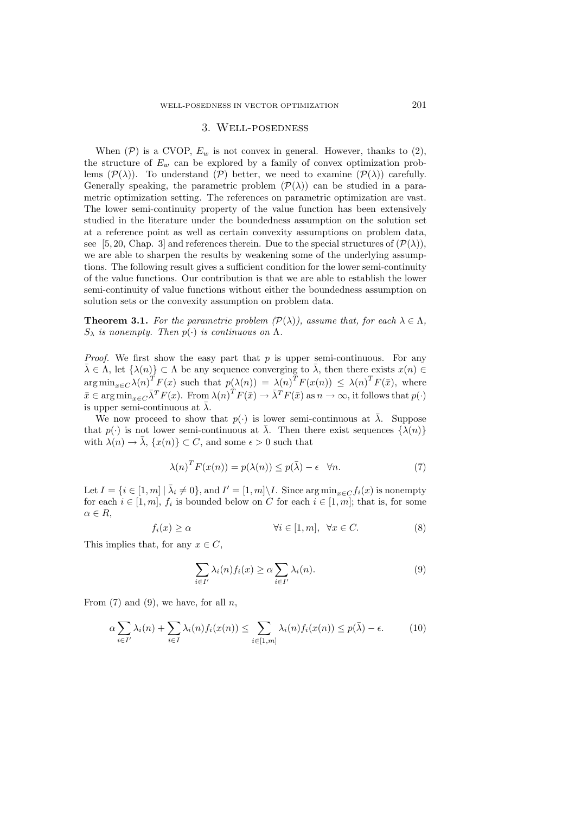### 3. Well-posedness

When  $(\mathcal{P})$  is a CVOP,  $E_w$  is not convex in general. However, thanks to  $(2)$ , the structure of  $E_w$  can be explored by a family of convex optimization problems  $(\mathcal{P}(\lambda))$ . To understand  $(\mathcal{P})$  better, we need to examine  $(\mathcal{P}(\lambda))$  carefully. Generally speaking, the parametric problem  $(\mathcal{P}(\lambda))$  can be studied in a parametric optimization setting. The references on parametric optimization are vast. The lower semi-continuity property of the value function has been extensively studied in the literature under the boundedness assumption on the solution set at a reference point as well as certain convexity assumptions on problem data, see [5, 20, Chap. 3] and references therein. Due to the special structures of  $(\mathcal{P}(\lambda))$ , we are able to sharpen the results by weakening some of the underlying assumptions. The following result gives a sufficient condition for the lower semi-continuity of the value functions. Our contribution is that we are able to establish the lower semi-continuity of value functions without either the boundedness assumption on solution sets or the convexity assumption on problem data.

**Theorem 3.1.** *For the parametric problem*  $(\mathcal{P}(\lambda))$ *, assume that, for each*  $\lambda \in \Lambda$ *,*  $S_{\lambda}$  *is nonempty. Then*  $p(\cdot)$  *is continuous on*  $\Lambda$ *.* 

*Proof.* We first show the easy part that p is upper semi-continuous. For any  $\bar{\lambda} \in \Lambda$ , let  $\{\lambda(n)\} \subset \Lambda$  be any sequence converging to  $\bar{\lambda}$ , then there exists  $x(n) \in$  $\arg \min_{x \in C} \lambda(n)^{T} F(x)$  such that  $p(\lambda(n)) = \lambda(n)^{T} F(x(n)) \leq \lambda(n)^{T} F(\bar{x})$ , where  $\bar{x} \in \arg \min_{x \in C} \bar{\lambda}^T F(x)$ . From  $\lambda(n)^T F(\bar{x}) \to \bar{\lambda}^T F(\bar{x})$  as  $n \to \infty$ , it follows that  $p(\cdot)$ is upper semi-continuous at  $\bar{\lambda}$ .

We now proceed to show that  $p(.)$  is lower semi-continuous at  $\overline{\lambda}$ . Suppose that  $p(\cdot)$  is not lower semi-continuous at  $\overline{\lambda}$ . Then there exist sequences  $\{\lambda(n)\}$ with  $\lambda(n) \to \bar{\lambda}$ ,  $\{x(n)\} \subset C$ , and some  $\epsilon > 0$  such that

$$
\lambda(n)^T F(x(n)) = p(\lambda(n)) \le p(\bar{\lambda}) - \epsilon \quad \forall n. \tag{7}
$$

Let  $I = \{i \in [1, m] \mid \overline{\lambda}_i \neq 0\}$ , and  $I' = [1, m] \setminus I$ . Since  $\arg \min_{x \in C} f_i(x)$  is nonempty for each  $i \in [1, m]$ ,  $f_i$  is bounded below on C for each  $i \in [1, m]$ ; that is, for some  $\alpha \in R$ ,

$$
f_i(x) \ge \alpha \qquad \qquad \forall i \in [1, m], \ \forall x \in C. \tag{8}
$$

This implies that, for any  $x \in C$ ,

$$
\sum_{i \in I'} \lambda_i(n) f_i(x) \ge \alpha \sum_{i \in I'} \lambda_i(n). \tag{9}
$$

From  $(7)$  and  $(9)$ , we have, for all n,

$$
\alpha \sum_{i \in I'} \lambda_i(n) + \sum_{i \in I} \lambda_i(n) f_i(x(n)) \le \sum_{i \in [1,m]} \lambda_i(n) f_i(x(n)) \le p(\bar{\lambda}) - \epsilon.
$$
 (10)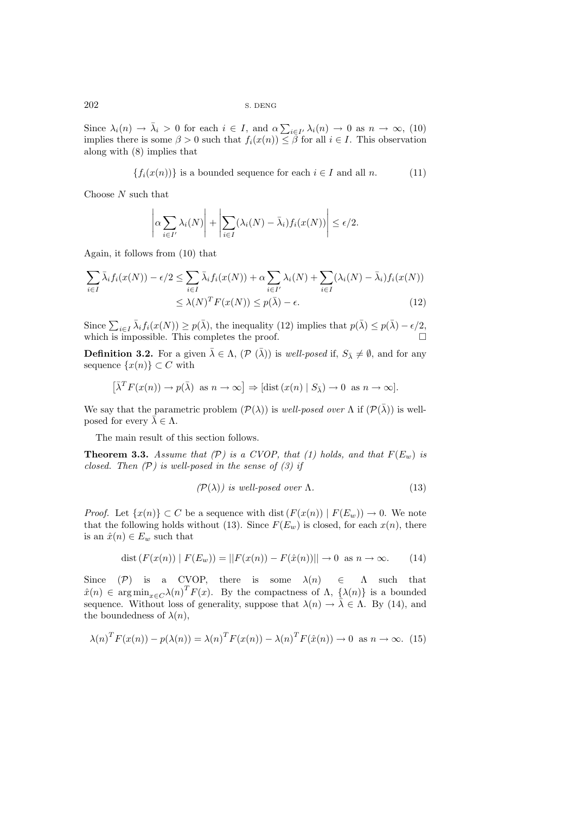Since  $\lambda_i(n) \to \bar{\lambda}_i > 0$  for each  $i \in I$ , and  $\alpha \sum_{i \in I'} \lambda_i(n) \to 0$  as  $n \to \infty$ , (10) implies there is some  $\beta > 0$  such that  $f_i(x(n)) \leq \beta$  for all  $i \in I$ . This observation implies there is some  $\beta > 0$  such that  $f_i(x(n)) \leq \beta$  for all  $i \in I$ . This observation along with (8) implies that

$$
\{f_i(x(n))\} \text{ is a bounded sequence for each } i \in I \text{ and all } n. \tag{11}
$$

Choose  $N$  such that

$$
\left| \alpha \sum_{i \in I'} \lambda_i(N) \right| + \left| \sum_{i \in I} (\lambda_i(N) - \bar{\lambda}_i) f_i(x(N)) \right| \le \epsilon/2.
$$

Again, it follows from (10) that

$$
\sum_{i \in I} \bar{\lambda}_i f_i(x(N)) - \epsilon/2 \le \sum_{i \in I} \bar{\lambda}_i f_i(x(N)) + \alpha \sum_{i \in I'} \lambda_i(N) + \sum_{i \in I} (\lambda_i(N) - \bar{\lambda}_i) f_i(x(N))
$$
  

$$
\le \lambda(N)^T F(x(N)) \le p(\bar{\lambda}) - \epsilon.
$$
 (12)

Since  $\sum_{i\in I} \bar{\lambda}_i f_i(x(N)) \geq p(\bar{\lambda})$ , the inequality (12) implies that  $p(\bar{\lambda}) \leq p(\bar{\lambda}) - \epsilon/2$ , which is impossible. This completes the proof which is impossible. This completes the proof.

**Definition 3.2.** For a given  $\bar{\lambda} \in \Lambda$ ,  $(\mathcal{P}(\bar{\lambda}))$  is *well-posed* if,  $S_{\bar{\lambda}} \neq \emptyset$ , and for any sequence  $\{x(n)\}\subset C$  with

$$
\left[\bar{\lambda}^T F(x(n)) \to p(\bar{\lambda}) \text{ as } n \to \infty\right] \Rightarrow \left[\text{dist}\left(x(n) \mid S_{\bar{\lambda}}\right) \to 0 \text{ as } n \to \infty\right].
$$

We say that the parametric problem  $(\mathcal{P}(\lambda))$  is *well-posed over*  $\Lambda$  if  $(\mathcal{P}(\bar{\lambda}))$  is wellposed for every  $\bar{\lambda} \in \Lambda$ .

The main result of this section follows.

**Theorem 3.3.** Assume that  $(P)$  is a CVOP, that  $(1)$  holds, and that  $F(E_w)$  is *closed. Then (*P*) is well-posed in the sense of (3) if*

$$
(\mathcal{P}(\lambda)) \text{ is well-posed over } \Lambda. \tag{13}
$$

*Proof.* Let  $\{x(n)\}\subset C$  be a sequence with dist  $(F(x(n)) | F(E_w)) \to 0$ . We note that the following holds without (13). Since  $F(E_w)$  is closed, for each  $x(n)$ , there is an  $\hat{x}(n) \in E_w$  such that

$$
dist(F(x(n)) | F(E_w)) = ||F(x(n)) - F(\hat{x}(n))|| \to 0 \text{ as } n \to \infty.
$$
 (14)

Since  $(\mathcal{P})$  is a CVOP, there is some  $\lambda(n) \in \Lambda$  such that  $\hat{x}(n) \in \arg \min_{x \in C} \lambda(n)^T F(x)$ . By the compactness of  $\Lambda$ ,  $\{\lambda(n)\}$  is a bounded sequence. Without loss of generality suppose that  $\lambda(n) \to \overline{\lambda} \subset \Lambda$ . By (14) and sequence. Without loss of generality, suppose that  $\lambda(n) \to \bar{\lambda} \in \Lambda$ . By (14), and the boundedness of  $\lambda(n)$ ,

$$
\lambda(n)^T F(x(n)) - p(\lambda(n)) = \lambda(n)^T F(x(n)) - \lambda(n)^T F(\hat{x}(n)) \to 0 \text{ as } n \to \infty.
$$
 (15)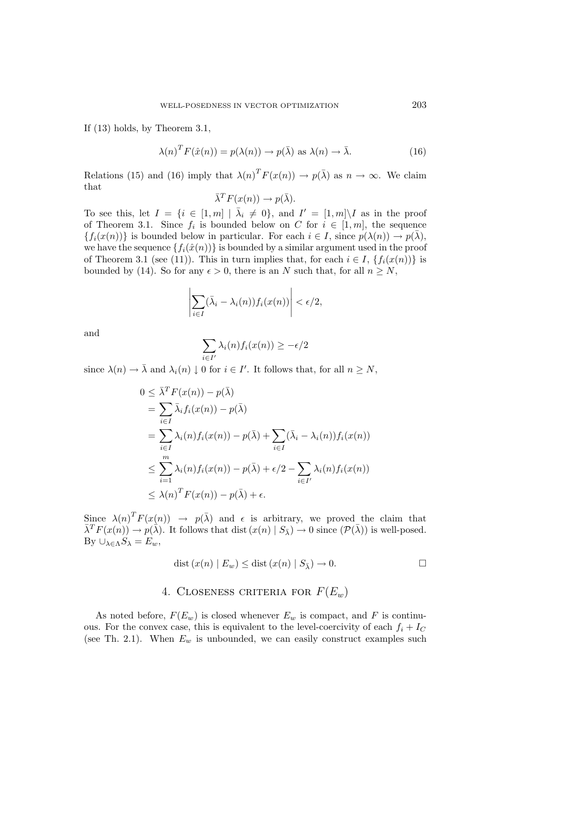If (13) holds, by Theorem 3.1,

$$
\lambda(n)^T F(\hat{x}(n)) = p(\lambda(n)) \to p(\bar{\lambda}) \text{ as } \lambda(n) \to \bar{\lambda}.
$$
 (16)

Relations (15) and (16) imply that  $\lambda(n)^T F(x(n)) \to p(\bar{\lambda})$  as  $n \to \infty$ . We claim that

$$
\bar{\lambda}^T F(x(n)) \to p(\bar{\lambda}).
$$

To see this, let  $I = \{i \in [1,m] \mid \overline{\lambda}_i \neq 0\}$ , and  $I' = [1,m] \setminus I$  as in the proof of Theorem 3.1. Since  $f_i$  is bounded below on C for  $i \in [1, m]$ , the sequence  ${f_i(x(n))}$  is bounded below in particular. For each  $i \in I$ , since  $p(\lambda(n)) \to p(\overline{\lambda})$ , we have the sequence  $\{f_i(\hat{x}(n))\}$  is bounded by a similar argument used in the proof of Theorem 3.1 (see (11)). This in turn implies that, for each  $i \in I$ ,  $\{f_i(x(n))\}$  is bounded by (14). So for any  $\epsilon > 0$ , there is an N such that, for all  $n > N$ ,

$$
\left|\sum_{i\in I}(\bar{\lambda}_i-\lambda_i(n))f_i(x(n))\right|<\epsilon/2,
$$

and

$$
\sum_{i \in I'} \lambda_i(n) f_i(x(n)) \ge -\epsilon/2
$$

since  $\lambda(n) \to \bar{\lambda}$  and  $\lambda_i(n) \downarrow 0$  for  $i \in I'$ . It follows that, for all  $n \geq N$ ,

$$
0 \leq \bar{\lambda}^T F(x(n)) - p(\bar{\lambda})
$$
  
\n
$$
= \sum_{i \in I} \bar{\lambda}_i f_i(x(n)) - p(\bar{\lambda})
$$
  
\n
$$
= \sum_{i \in I} \lambda_i(n) f_i(x(n)) - p(\bar{\lambda}) + \sum_{i \in I} (\bar{\lambda}_i - \lambda_i(n)) f_i(x(n))
$$
  
\n
$$
\leq \sum_{i=1}^m \lambda_i(n) f_i(x(n)) - p(\bar{\lambda}) + \epsilon/2 - \sum_{i \in I'} \lambda_i(n) f_i(x(n))
$$
  
\n
$$
\leq \lambda(n)^T F(x(n)) - p(\bar{\lambda}) + \epsilon.
$$

Since  $\lambda(n)^T F(x(n)) \rightarrow p(\overline{\lambda})$  and  $\epsilon$  is arbitrary, we proved the claim that  $\overline{\lambda}^T F(x(n)) \to p(\overline{\lambda})$ . It follows that dist  $(x(n) | S_{\overline{\lambda}}) \to 0$  since  $(\mathcal{P}(\overline{\lambda}))$  is well-posed. By  $\cup_{\lambda \in \Lambda} S_{\lambda} = E_w$ ,

$$
dist(x(n) | E_w) \leq dist(x(n) | S_{\bar{\lambda}}) \to 0.
$$

# 4. CLOSENESS CRITERIA FOR  $F(E_w)$

As noted before,  $F(E_w)$  is closed whenever  $E_w$  is compact, and F is continuous. For the convex case, this is equivalent to the level-coercivity of each  $f_i + I_C$ (see Th. 2.1). When  $E_w$  is unbounded, we can easily construct examples such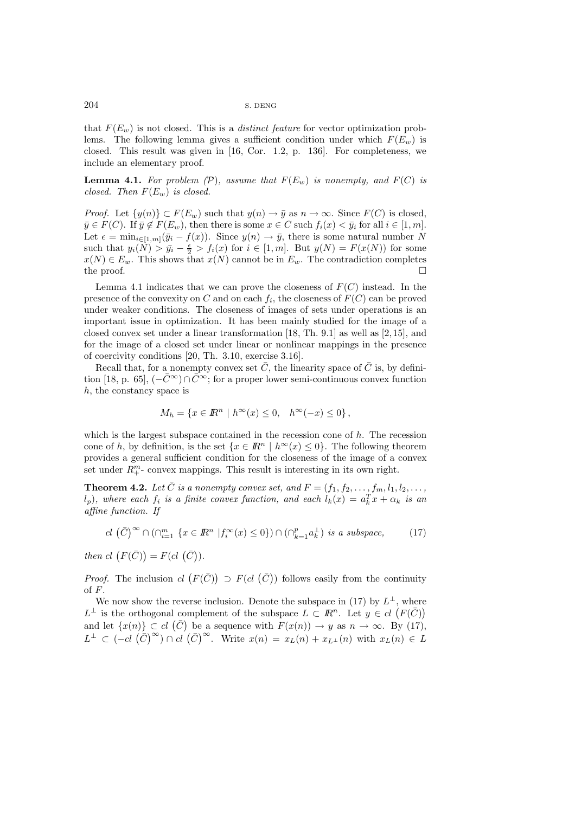that  $F(E_w)$  is not closed. This is a *distinct feature* for vector optimization problems. The following lemma gives a sufficient condition under which  $F(E_w)$  is closed. This result was given in [16, Cor. 1.2, p. 136]. For completeness, we include an elementary proof.

**Lemma 4.1.** For problem  $(\mathcal{P})$ , assume that  $F(E_w)$  is nonempty, and  $F(C)$  is *closed. Then* <sup>F</sup>(Ew) *is closed.*

*Proof.* Let  $\{y(n)\}\subset F(E_w)$  such that  $y(n) \to \bar{y}$  as  $n \to \infty$ . Since  $F(C)$  is closed,  $\bar{y} \in F(C)$ . If  $\bar{y} \notin F(E_w)$ , then there is some  $x \in C$  such  $f_i(x) < \bar{y}_i$  for all  $i \in [1, m]$ . Let  $\epsilon = \min_{i \in [1,m]} (\bar{y}_i - f(x))$ . Since  $y(n) \to \bar{y}$ , there is some natural number N such that  $y_i(N) > \bar{y}_i - \frac{\epsilon}{2} > f_i(x)$  for  $i \in [1, m]$ . But  $y(N) = F(x(N))$  for some  $x(N) \in E$ . This shows that  $x(N)$  cannot be in  $F$ . The contradiction completes  $x(N) \in E_w$ . This shows that  $x(N)$  cannot be in  $E_w$ . The contradiction completes the proof. the proof.  $\Box$ 

Lemma 4.1 indicates that we can prove the closeness of  $F(C)$  instead. In the presence of the convexity on C and on each  $f_i$ , the closeness of  $F(C)$  can be proved under weaker conditions. The closeness of images of sets under operations is an important issue in optimization. It has been mainly studied for the image of a closed convex set under a linear transformation [18, Th. 9.1] as well as [2, 15], and for the image of a closed set under linear or nonlinear mappings in the presence of coercivity conditions [20, Th. 3.10, exercise 3.16].

Recall that, for a nonempty convex set  $\overline{C}$ , the linearity space of  $\overline{C}$  is, by definition [18, p. 65],  $(-\bar{C}^{\infty}) \cap \bar{C}^{\infty}$ ; for a proper lower semi-continuous convex function h, the constancy space is

$$
M_h = \{x \in \mathbb{R}^n \mid h^{\infty}(x) \le 0, \quad h^{\infty}(-x) \le 0\},\
$$

which is the largest subspace contained in the recession cone of  $h$ . The recession cone of h, by definition, is the set  $\{x \in \mathbb{R}^n \mid h^{\infty}(x) \leq 0\}$ . The following theorem provides a general sufficient condition for the closeness of the image of a convex set under  $R_{+}^{m}$ - convex mappings. This result is interesting in its own right.

**Theorem 4.2.** Let  $\overline{C}$  is a nonempty convex set, and  $F = (f_1, f_2, \ldots, f_m, l_1, l_2, \ldots, l_m)$  $(l_p)$ , where each  $f_i$  *is a finite convex function, and each*  $l_k(x) = a_k^T x + \alpha_k$  *is an* affine function. If *affine function. If*

$$
cl\left(\bar{C}\right)^{\infty} \cap \left(\cap_{i=1}^{m} \{x \in \mathbb{R}^{n} \mid f_{i}^{\infty}(x) \le 0\}\right) \cap \left(\cap_{k=1}^{p} a_{k}^{\perp}\right) \text{ is a subspace, } (17)
$$

*then cl*  $(F(\bar{C})) = F(cl(\bar{C})).$ 

*Proof.* The inclusion  $cl(F(\bar{C})) \supseteq F(cl(\bar{C}))$  follows easily from the continuity of F.

We now show the reverse inclusion. Denote the subspace in (17) by  $L^{\perp}$ , where  $L^{\perp}$  is the orthogonal complement of the subspace  $L \subset \mathbb{R}^n$ . Let  $y \in cl \; (F(\bar{C}))$ and let  $\{x(n)\} \subset cl \ (\bar{C})$  be a sequence with  $F(x(n)) \to y$  as  $n \to \infty$ . By (17),  $L^{\perp} \subset (-cl \left(\tilde{C}\right)^{\infty}) \cap cl \left(\tilde{C}\right)^{\infty}$ . Write  $x(n) = x_L(n) + x_{L^{\perp}}(n)$  with  $x_L(n) \in L$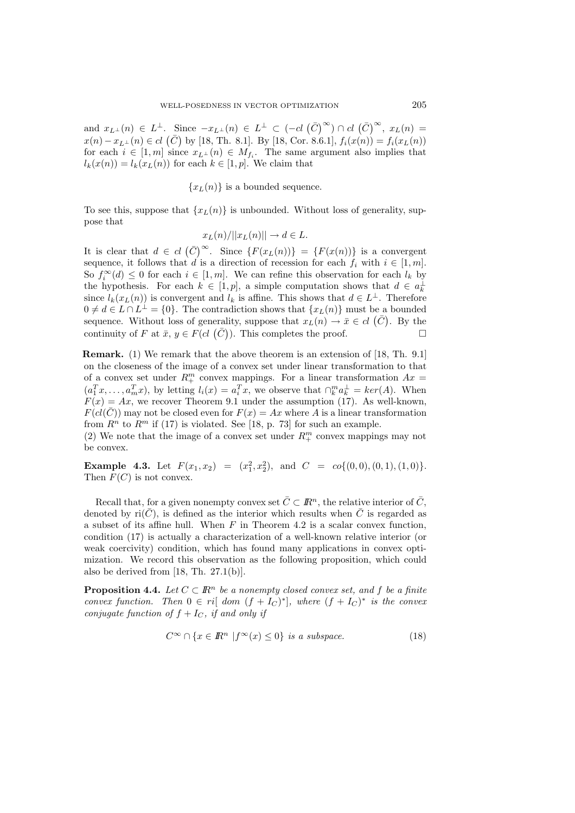and  $x_{L^{\perp}}(n) \in L^{\perp}$ . Since  $-x_{L^{\perp}}(n) \in L^{\perp} \subset (-cl \left(\bar{C}\right)^{\infty}) \cap cl \left(\bar{C}\right)^{\infty}$ ,  $x_{L}(n) =$  $x(n) - x_{L^{\perp}}(n) \in cl$  ( $\bar{C}$ ) by [18, Th. 8.1]. By [18, Cor. 8.6.1],  $f_i(x(n)) = f_i(x_L(n))$ <br>for each  $i \in [1, m]$  since  $x_{L^{\perp}}(n) \in M$ . The same argument also implies that for each  $i \in [1, m]$  since  $x_{L^{\perp}}(n) \in M_{f_i}$ . The same argument also implies that  $l_k(x(n)) = l_k(x_{L}(n))$  for each  $k \in [1, p]$ . We claim that

 ${x<sub>L</sub>(n)}$  is a bounded sequence.

To see this, suppose that  $\{x_L(n)\}\$ is unbounded. Without loss of generality, suppose that

$$
x_L(n)/||x_L(n)|| \to d \in L.
$$

It is clear that  $d \in cl$   $(\bar{C})^{\infty}$ . Since  $\{F(x_L(n))\} = \{F(x(n))\}$  is a convergent sequence, it follows that d is a direction of recession for each  $f_i$  with  $i \in [1, m]$ . So  $f_i^{\infty}(d) \leq 0$  for each  $i \in [1, m]$ . We can refine this observation for each  $l_k$  by the hypothesis. For each  $k \in [1, n]$ , a simple computation shows that  $d \in a^{\perp}$ the hypothesis. For each  $k \in [1, p]$ , a simple computation shows that  $d \in a_k^{\perp}$ since  $l_k(x_L(n))$  is convergent and  $l_k$  is affine. This shows that  $d \in L^{\perp}$ . Therefore  $0 \neq d \in L \cap L^{\perp} = \{0\}.$  The contradiction shows that  $\{x_L(n)\}\$  must be a bounded sequence. Without loss of generality, suppose that  $x_L(n) \to \bar{x} \in cl$  ( $\bar{C}$ ). By the continuity of F at  $\bar{x}$ ,  $y \in F(cl(\bar{C}))$ . This completes the proof.

**Remark.** (1) We remark that the above theorem is an extension of [18, Th. 9.1] on the closeness of the image of a convex set under linear transformation to that of a convex set under  $R_{+}^{m}$  convex mappings. For a linear transformation  $Ax =$  $(a_1^T x, \ldots, a_m^T x)$ , by letting  $l_i(x) = a_i^T x$ , we observe that  $\bigcap_k^m a_k^{\perp} = \text{ker}(A)$ . When  $F(x) = Ax$ , we recover Theorem 9.1 under the assumption (17). As well-known,  $F(cl(\overline{C}))$  may not be closed even for  $F(x) = Ax$  where A is a linear transformation from  $R^n$  to  $R^m$  if (17) is violated. See [18, p. 73] for such an example.

(2) We note that the image of a convex set under  $R_+^m$  convex mappings may not be convex.

**Example 4.3.** Let  $F(x_1, x_2) = (x_1^2, x_2^2)$ , and  $C = co\{(0, 0), (0, 1), (1, 0)\}.$ Then  $F(C)$  is not convex.

Recall that, for a given nonempty convex set  $\overline{C} \subset \mathbb{R}^n$ , the relative interior of  $\overline{C}$ , denoted by ri $(\bar{C})$ , is defined as the interior which results when  $\bar{C}$  is regarded as a subset of its affine hull. When  $F$  in Theorem 4.2 is a scalar convex function, condition (17) is actually a characterization of a well-known relative interior (or weak coercivity) condition, which has found many applications in convex optimization. We record this observation as the following proposition, which could also be derived from [18, Th. 27.1(b)].

**Proposition 4.4.** *Let*  $C \subset \mathbb{R}^n$  *be a nonempty closed convex set, and* f *be a finite convex function. Then*  $0 \in ri[$  *dom*  $(f + I_C)^*]$ *, where*  $(f + I_C)^*$  *is the convex conjugate function of*  $f + I_C$ *, if and only if* 

$$
C^{\infty} \cap \{x \in \mathbb{R}^n \mid f^{\infty}(x) \le 0\} \text{ is a subspace.}
$$
 (18)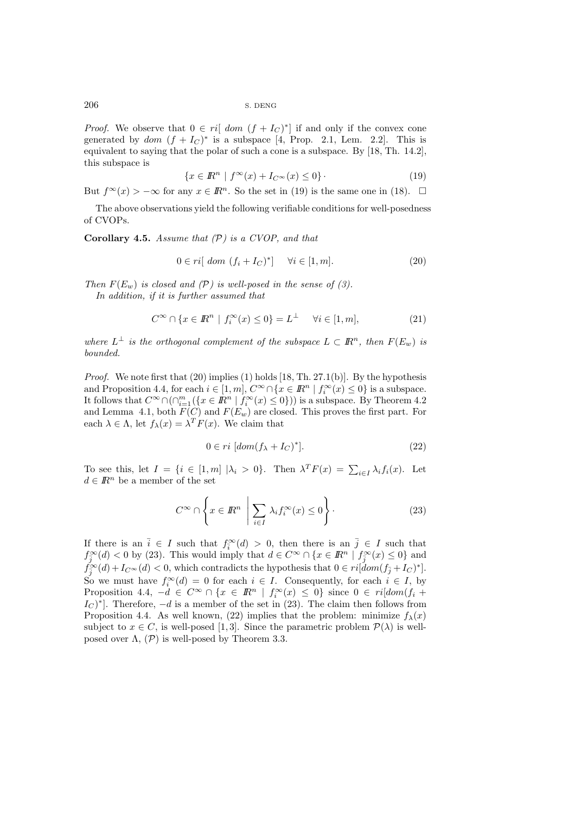*Proof.* We observe that  $0 \in ri[dom(f + I_C)^*]$  if and only if the convex cone generated by dom  $(f + I_C)^*$  is a subspace [4, Prop. 2.1, Lem. 2.2]. This is equivalent to saying that the polar of such a cone is a subspace. By [18, Th. 14.2], this subspace is

$$
\{x \in \mathbb{R}^n \mid f^{\infty}(x) + I_{C^{\infty}}(x) \le 0\}.
$$
\n(19)

But  $f^{\infty}(x) > -\infty$  for any  $x \in \mathbb{R}^n$ . So the set in (19) is the same one in (18).  $\Box$ 

The above observations yield the following verifiable conditions for well-posedness of CVOPs.

**Corollary 4.5.** *Assume that (*P*) is a CVOP, and that*

$$
0 \in ri[ dom (f_i + I_C)^*] \quad \forall i \in [1, m].
$$
 (20)

*Then*  $F(E_w)$  *is closed and (P) is well-posed in the sense of (3). In addition, if it is further assumed that*

$$
C^{\infty} \cap \{x \in \mathbb{R}^n \mid f_i^{\infty}(x) \le 0\} = L^{\perp} \quad \forall i \in [1, m], \tag{21}
$$

*where*  $L^{\perp}$  *is the orthogonal complement of the subspace*  $L \subset \mathbb{R}^n$ *, then*  $F(E_w)$  *is bounded.*

*Proof.* We note first that (20) implies (1) holds [18, Th. 27.1(b)]. By the hypothesis and Proposition 4.4, for each  $i \in [1, m]$ ,  $C^{\infty} \cap \{x \in \mathbb{R}^n \mid f_i^{\infty}(x) \leq 0\}$  is a subspace.<br>It follows that  $C^{\infty} \cap (\cap^m \{f \in \mathbb{R}^n \mid f^{\infty}(x) \leq 0\})$  is a subspace. By Theorem 4.2 It follows that  $C^{\infty} \cap (\bigcap_{i=1}^{m} (\{x \in \mathbb{R}^n \mid f_i^{\infty}(x) \le 0\}))$  is a subspace. By Theorem 4.2 and Lemma 4.1, both  $F(C)$  and  $F(E_w)$  are closed. This proves the first part. For each  $\lambda \in \Lambda$ , let  $f_{\lambda}(x) = \lambda^{T} F(x)$ . We claim that

$$
0 \in ri \; [dom(f_{\lambda} + I_C)^*]. \tag{22}
$$

To see this, let  $I = \{i \in [1,m] \mid \lambda_i > 0\}$ . Then  $\lambda^T F(x) = \sum_{i \in I} \lambda_i f_i(x)$ . Let  $d \in \mathbb{R}^n$  be a member of the set  $d \in \mathbb{R}^n$  be a member of the set

$$
C^{\infty} \cap \left\{ x \in \mathbb{R}^n \; \left| \; \sum_{i \in I} \lambda_i f_i^{\infty}(x) \le 0 \right. \right\}.
$$
 (23)

If there is an  $\overline{i} \in I$  such that  $f_i^{\infty}(d) > 0$ , then there is an  $\overline{j} \in I$  such that  $f_i^{\infty}(d) < 0$  by (23). This would imply that  $d \in C^{\infty} \cap \{x \in \mathbb{R}^n \mid f_{i}^{\infty}(x) < 0\}$  and  $f_{\tilde{j}}^{\infty}(d) < 0$  by (23). This would imply that  $d \in C^{\infty} \cap \{x \in \mathbb{R}^n \mid f_{\tilde{j}}^{\infty}(x) \leq 0\}$  and  $f_{\infty}(d) \in C$  which contradicts the hypothesis that  $0 \in \mathbb{R}^d$  (or  $f_{\infty}(x) \leq 1$ ).  $f_{\mathcal{J}}^{\infty}(d) + I_C^{\infty}(d) < 0$ , which contradicts the hypothesis that  $0 \in ri[\text{dom}(f_{\bar{j}} + I_C)^*].$ So we must have  $f_i^{\infty}(d) = 0$  for each  $i \in I$ . Consequently, for each  $i \in I$ , by<br>Proposition  $4A - d \in C^{\infty} \cap \{x \in \mathbb{R}^n \mid f^{\infty}(x) \leq 0\}$  since  $0 \in \text{rildom}(f, \perp)$ Proposition 4.4,  $-d \in C^{\infty} \cap \{x \in \mathbb{R}^n \mid f_i^{\infty}(x) \leq 0\}$  since  $0 \in ri[dom(f_i + I_{\alpha})^*]$ . Therefore  $-d$  is a mamber of the set in (23). The claim then follows from  $I_{\mathcal{C}}$  <sup>\*</sup>. Therefore,  $-d$  is a member of the set in (23). The claim then follows from Proposition 4.4. As well known, (22) implies that the problem: minimize  $f_{\lambda}(x)$ subject to  $x \in C$ , is well-posed [1,3]. Since the parametric problem  $\mathcal{P}(\lambda)$  is wellposed over  $\Lambda$ ,  $(\mathcal{P})$  is well-posed by Theorem 3.3.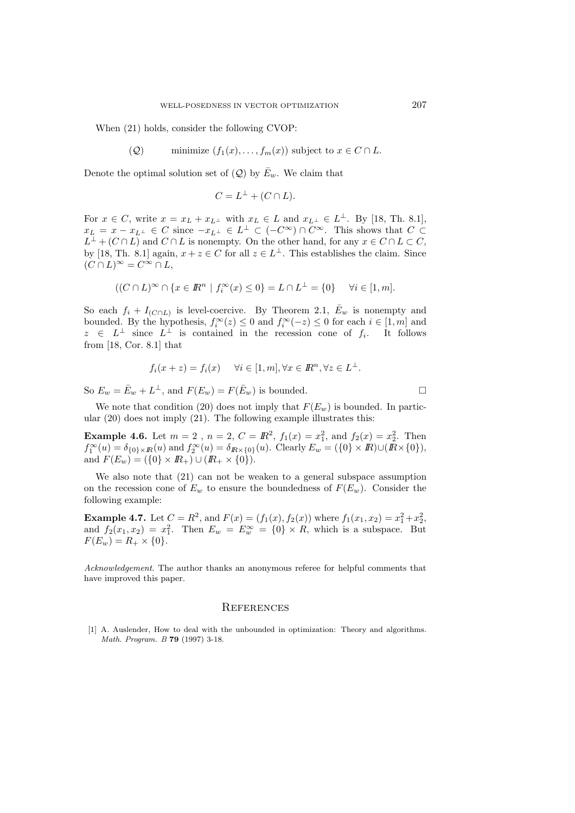When (21) holds, consider the following CVOP:

(Q) minimize 
$$
(f_1(x),..., f_m(x))
$$
 subject to  $x \in C \cap L$ .

Denote the optimal solution set of  $(Q)$  by  $\bar{E}_w$ . We claim that

$$
C = L^{\perp} + (C \cap L).
$$

For  $x \in C$ , write  $x = x_L + x_{L^{\perp}}$  with  $x_L \in L$  and  $x_{L^{\perp}} \in L^{\perp}$ . By [18, Th. 8.1],  $x_L = x - x_{L^{\perp}} \in C$  since  $-x_{L^{\perp}} \in L^{\perp} \subset (-C^{\infty}) \cap C^{\infty}$ . This shows that  $C \subset L^{\perp} \cup (C \cap L)$  and  $C \cap L$  is parameter. On the other hand, for any  $x \in C \cap L \in C$ .  $L^{\perp}$  +  $(C \cap L)$  and  $C \cap L$  is nonempty. On the other hand, for any  $x \in C \cap L \subset C$ , by [18, Th. 8.1] again,  $x + z \in C$  for all  $z \in L^{\perp}$ . This establishes the claim. Since  $(C \cap L)^\infty = C^\infty \cap L$ ,

$$
((C \cap L)^{\infty} \cap \{x \in \mathbb{R}^n \mid f_i^{\infty}(x) \le 0\} = L \cap L^{\perp} = \{0\} \quad \forall i \in [1, m].
$$

So each  $f_i + I_{(C \cap L)}$  is level-coercive. By Theorem 2.1,  $\bar{E}_w$  is nonempty and bounded. By the hypothesis,  $f_i^{\infty}(z) \leq 0$  and  $f_i^{\infty}(-z) \leq 0$  for each  $i \in [1, m]$  and  $z \in L^{\perp}$  since  $L^{\perp}$  is contained in the recession cone of f. It follows  $z \in L^{\perp}$  since  $L^{\perp}$  is contained in the recession cone of  $f_i$ . It follows from [18, Cor. 8.1] that

$$
f_i(x+z) = f_i(x) \quad \forall i \in [1, m], \forall x \in \mathbb{R}^n, \forall z \in L^{\perp}.
$$

So  $E_w = \bar{E}_w + L^{\perp}$ , and  $F(E_w) = F(\bar{E}_w)$  is bounded.

We note that condition (20) does not imply that  $F(E_w)$  is bounded. In particular (20) does not imply (21). The following example illustrates this:

**Example 4.6.** Let  $m = 2$ ,  $n = 2$ ,  $C = \mathbb{R}^2$ ,  $f_1(x) = x_1^2$ , and  $f_2(x) = x_2^2$ . Then  $f_1^{\infty}(u) = \delta_{\{0\}\times\mathbb{R}}(u)$  and  $f_2^{\infty}(u) = \delta_{\mathbb{R}\times\{0\}}(u)$ . Clearly  $E_w = (\{0\}\times\mathbb{R})\cup(\mathbb{R}\times\{0\}),$ and  $F(E_w) = (\{0\} \times I\!\!R_+) \cup (I\!\!R_+ \times \{0\}).$ 

We also note that (21) can not be weaken to a general subspace assumption on the recession cone of  $E_w$  to ensure the boundedness of  $F(E_w)$ . Consider the following example:

**Example 4.7.** Let  $C = R^2$ , and  $F(x) = (f_1(x), f_2(x))$  where  $f_1(x_1, x_2) = x_1^2 + x_2^2$ , and  $f_2(x_1, x_2) = x_1^2$ . Then  $E_w = E_w^{\infty} = \{0\} \times R$ , which is a subspace. But  $F(F_1) = R_v \times I_0$  $F(E_w) = R_+ \times \{0\}.$ 

Acknowledgement. The author thanks an anonymous referee for helpful comments that have improved this paper.

#### **REFERENCES**

[1] A. Auslender, How to deal with the unbounded in optimization: Theory and algorithms. Math. Program. B **79** (1997) 3-18.